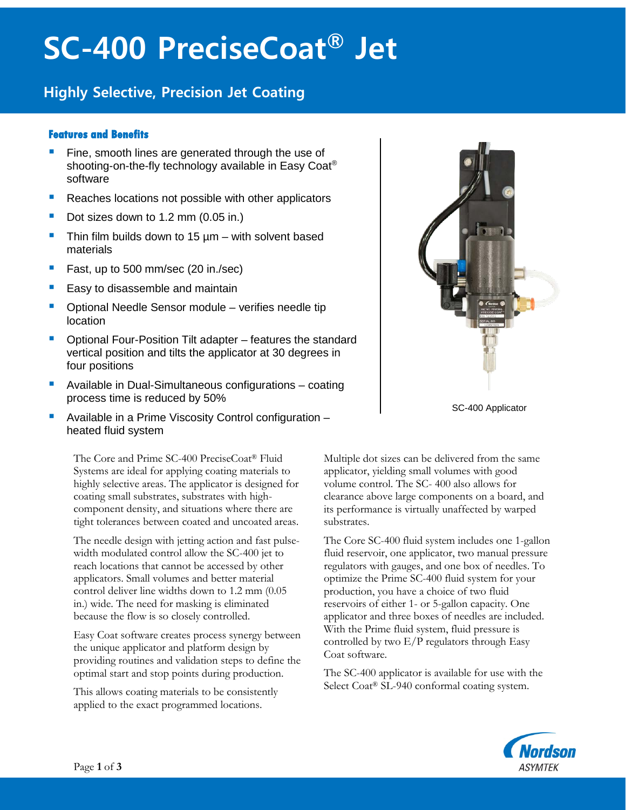# **SC-400 PreciseCoat® Jet**

### **Highly Selective, Precision Jet Coating**

#### **Features and Benefits**

- Fine, smooth lines are generated through the use of shooting-on-the-fly technology available in Easy Coat® software
- Reaches locations not possible with other applicators
- Dot sizes down to 1.2 mm (0.05 in.)
- Thin film builds down to 15  $\mu$ m with solvent based materials
- Fast, up to 500 mm/sec (20 in./sec)
- Easy to disassemble and maintain
- Optional Needle Sensor module verifies needle tip location
- Optional Four-Position Tilt adapter features the standard vertical position and tilts the applicator at 30 degrees in four positions
- Available in Dual-Simultaneous configurations coating process time is reduced by 50%
- Available in a Prime Viscosity Control configuration heated fluid system

The Core and Prime SC-400 PreciseCoat® Fluid Systems are ideal for applying coating materials to highly selective areas. The applicator is designed for coating small substrates, substrates with highcomponent density, and situations where there are tight tolerances between coated and uncoated areas.

The needle design with jetting action and fast pulsewidth modulated control allow the SC-400 jet to reach locations that cannot be accessed by other applicators. Small volumes and better material control deliver line widths down to 1.2 mm (0.05 in.) wide. The need for masking is eliminated because the flow is so closely controlled.

Easy Coat software creates process synergy between the unique applicator and platform design by providing routines and validation steps to define the optimal start and stop points during production.

This allows coating materials to be consistently applied to the exact programmed locations.



SC-400 Applicator

Multiple dot sizes can be delivered from the same applicator, yielding small volumes with good volume control. The SC- 400 also allows for clearance above large components on a board, and its performance is virtually unaffected by warped substrates.

The Core SC-400 fluid system includes one 1-gallon fluid reservoir, one applicator, two manual pressure regulators with gauges, and one box of needles. To optimize the Prime SC-400 fluid system for your production, you have a choice of two fluid reservoirs of either 1- or 5-gallon capacity. One applicator and three boxes of needles are included. With the Prime fluid system, fluid pressure is controlled by two E/P regulators through Easy Coat software.

The SC-400 applicator is available for use with the Select Coat<sup>®</sup> SL-940 conformal coating system.

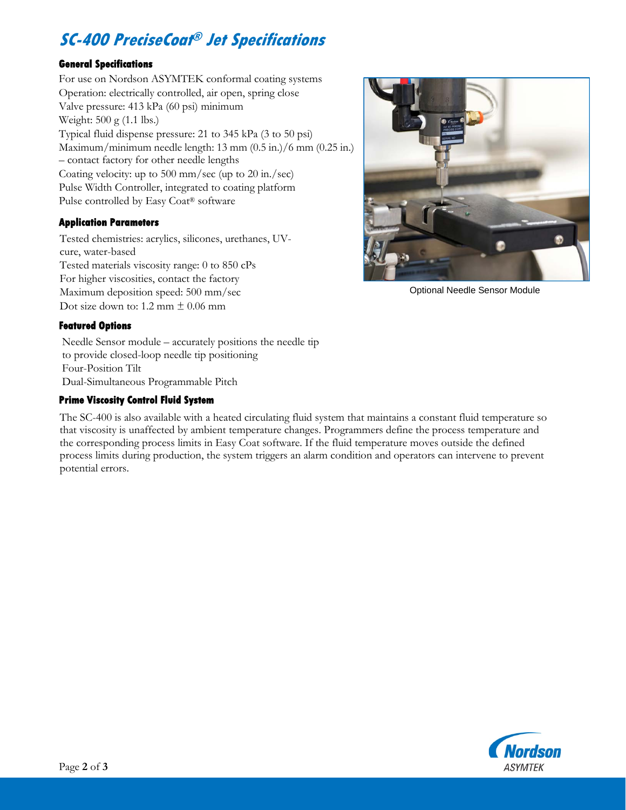## **SC-400 PreciseCoat® Jet Specifications**

#### **General Specifications**

For use on Nordson ASYMTEK conformal coating systems Operation: electrically controlled, air open, spring close Valve pressure: 413 kPa (60 psi) minimum Weight: 500 g (1.1 lbs.) Typical fluid dispense pressure: 21 to 345 kPa (3 to 50 psi) Maximum/minimum needle length: 13 mm (0.5 in.)/6 mm (0.25 in.) – contact factory for other needle lengths Coating velocity: up to 500 mm/sec (up to 20 in./sec) Pulse Width Controller, integrated to coating platform Pulse controlled by Easy Coat® software

#### **Application Parameters**

Tested chemistries: acrylics, silicones, urethanes, UVcure, water-based Tested materials viscosity range: 0 to 850 cPs For higher viscosities, contact the factory Maximum deposition speed: 500 mm/sec Dot size down to: 1.2 mm  $\pm$  0.06 mm



Optional Needle Sensor Module

#### **Featured Options**

Needle Sensor module – accurately positions the needle tip to provide closed-loop needle tip positioning Four-Position Tilt Dual-Simultaneous Programmable Pitch

#### **Prime Viscosity Control Fluid System**

The SC-400 is also available with a heated circulating fluid system that maintains a constant fluid temperature so that viscosity is unaffected by ambient temperature changes. Programmers define the process temperature and the corresponding process limits in Easy Coat software. If the fluid temperature moves outside the defined process limits during production, the system triggers an alarm condition and operators can intervene to prevent potential errors.